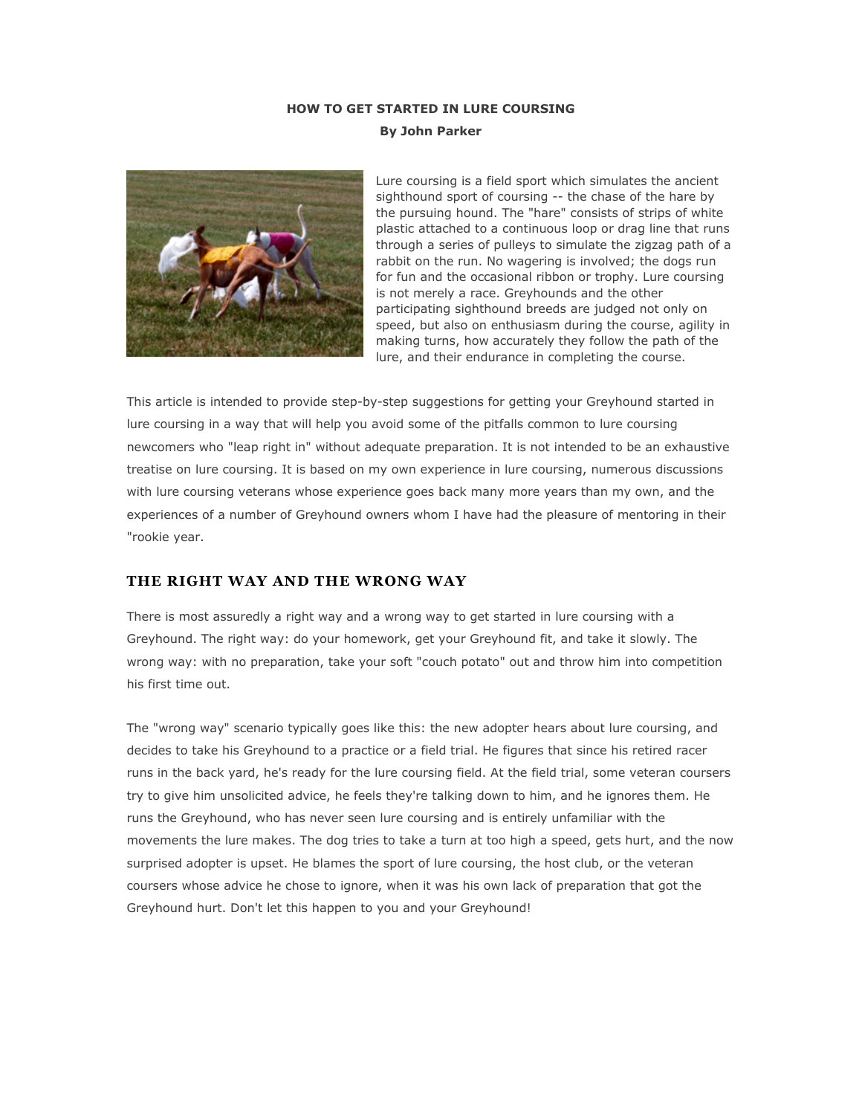# **HOW TO GET STARTED IN LURE COURSING By John Parker**



Lure coursing is a field sport which simulates the ancient sighthound sport of coursing -- the chase of the hare by the pursuing hound. The "hare" consists of strips of white plastic attached to a continuous loop or drag line that runs through a series of pulleys to simulate the zigzag path of a rabbit on the run. No wagering is involved; the dogs run for fun and the occasional ribbon or trophy. Lure coursing is not merely a race. Greyhounds and the other participating sighthound breeds are judged not only on speed, but also on enthusiasm during the course, agility in making turns, how accurately they follow the path of the lure, and their endurance in completing the course.

This article is intended to provide step-by-step suggestions for getting your Greyhound started in lure coursing in a way that will help you avoid some of the pitfalls common to lure coursing newcomers who "leap right in" without adequate preparation. It is not intended to be an exhaustive treatise on lure coursing. It is based on my own experience in lure coursing, numerous discussions with lure coursing veterans whose experience goes back many more years than my own, and the experiences of a number of Greyhound owners whom I have had the pleasure of mentoring in their "rookie year.

# **THE RIGHT WAY AND THE WRONG WAY**

There is most assuredly a right way and a wrong way to get started in lure coursing with a Greyhound. The right way: do your homework, get your Greyhound fit, and take it slowly. The wrong way: with no preparation, take your soft "couch potato" out and throw him into competition his first time out.

The "wrong way" scenario typically goes like this: the new adopter hears about lure coursing, and decides to take his Greyhound to a practice or a field trial. He figures that since his retired racer runs in the back yard, he's ready for the lure coursing field. At the field trial, some veteran coursers try to give him unsolicited advice, he feels they're talking down to him, and he ignores them. He runs the Greyhound, who has never seen lure coursing and is entirely unfamiliar with the movements the lure makes. The dog tries to take a turn at too high a speed, gets hurt, and the now surprised adopter is upset. He blames the sport of lure coursing, the host club, or the veteran coursers whose advice he chose to ignore, when it was his own lack of preparation that got the Greyhound hurt. Don't let this happen to you and your Greyhound!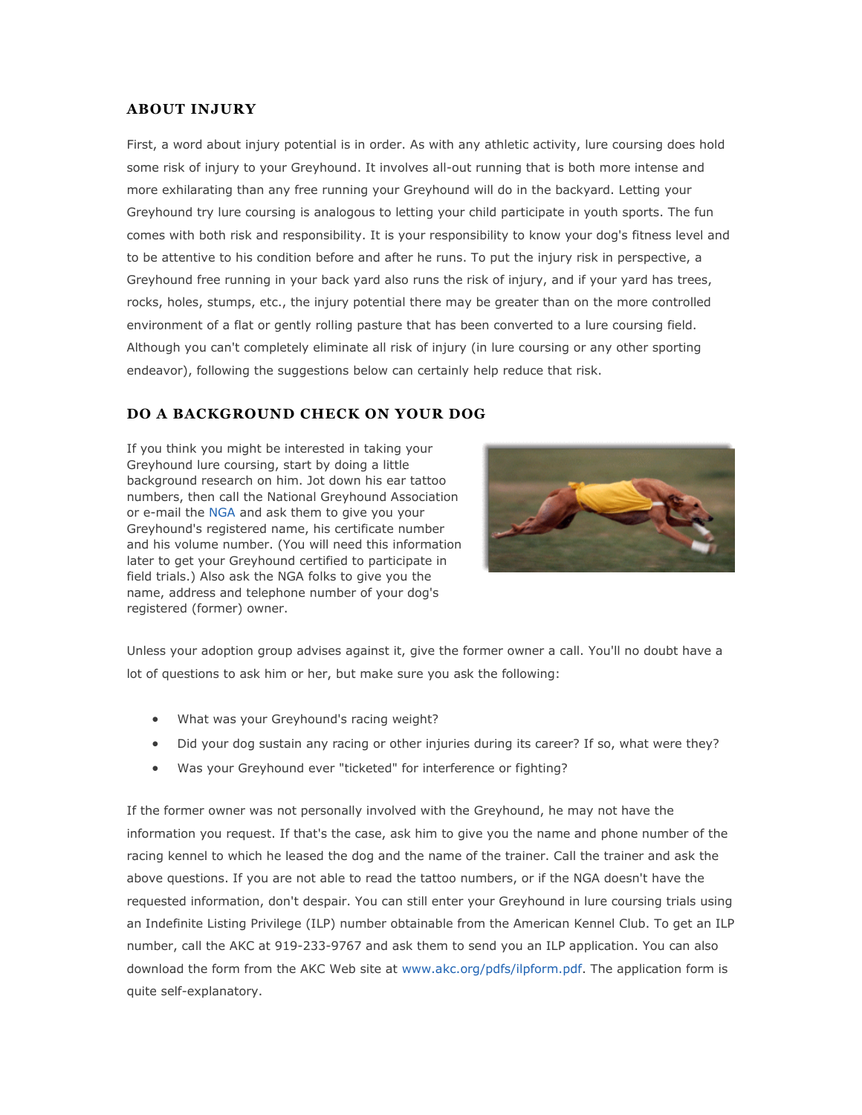### **ABOUT INJURY**

First, a word about injury potential is in order. As with any athletic activity, lure coursing does hold some risk of injury to your Greyhound. It involves all-out running that is both more intense and more exhilarating than any free running your Greyhound will do in the backyard. Letting your Greyhound try lure coursing is analogous to letting your child participate in youth sports. The fun comes with both risk and responsibility. It is your responsibility to know your dog's fitness level and to be attentive to his condition before and after he runs. To put the injury risk in perspective, a Greyhound free running in your back yard also runs the risk of injury, and if your yard has trees, rocks, holes, stumps, etc., the injury potential there may be greater than on the more controlled environment of a flat or gently rolling pasture that has been converted to a lure coursing field. Although you can't completely eliminate all risk of injury (in lure coursing or any other sporting endeavor), following the suggestions below can certainly help reduce that risk.

### **DO A BACKGROUND CHECK ON YOUR DOG**

If you think you might be interested in taking your Greyhound lure coursing, start by doing a little background research on him. Jot down his ear tattoo numbers, then call the National Greyhound Association or e-mail the [NGA](mailto:nga@ngagreyhounds.com) and ask them to give you your Greyhound's registered name, his certificate number and his volume number. (You will need this information later to get your Greyhound certified to participate in field trials.) Also ask the NGA folks to give you the name, address and telephone number of your dog's registered (former) owner.



Unless your adoption group advises against it, give the former owner a call. You'll no doubt have a lot of questions to ask him or her, but make sure you ask the following:

- What was your Greyhound's racing weight?
- Did your dog sustain any racing or other injuries during its career? If so, what were they?
- Was your Greyhound ever "ticketed" for interference or fighting?

If the former owner was not personally involved with the Greyhound, he may not have the information you request. If that's the case, ask him to give you the name and phone number of the racing kennel to which he leased the dog and the name of the trainer. Call the trainer and ask the above questions. If you are not able to read the tattoo numbers, or if the NGA doesn't have the requested information, don't despair. You can still enter your Greyhound in lure coursing trials using an Indefinite Listing Privilege (ILP) number obtainable from the American Kennel Club. To get an ILP number, call the AKC at 919-233-9767 and ask them to send you an ILP application. You can also download the form from the AKC Web site at [www.akc.org/pdfs/ilpform.pdf.](http://www.akc.org/pdfs/ilpform.pdf) The application form is quite self-explanatory.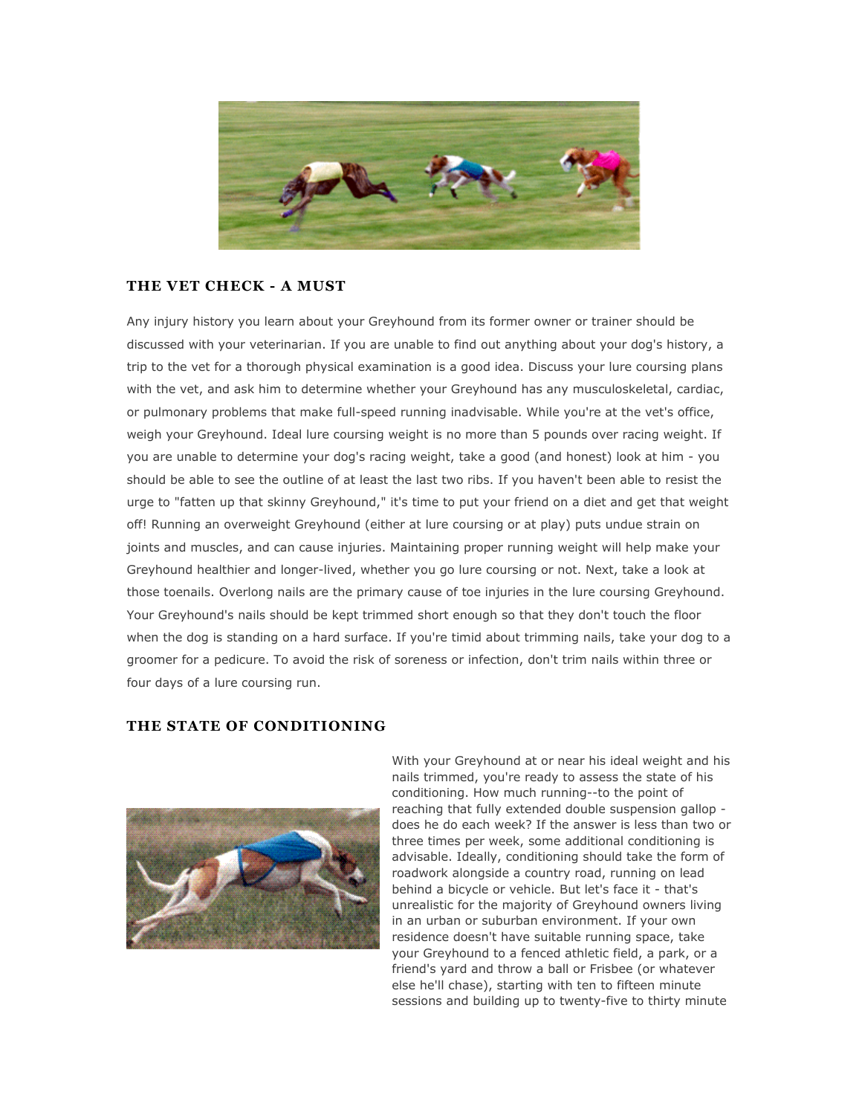

# **THE VET CHECK - A MUST**

Any injury history you learn about your Greyhound from its former owner or trainer should be discussed with your veterinarian. If you are unable to find out anything about your dog's history, a trip to the vet for a thorough physical examination is a good idea. Discuss your lure coursing plans with the vet, and ask him to determine whether your Greyhound has any musculoskeletal, cardiac, or pulmonary problems that make full-speed running inadvisable. While you're at the vet's office, weigh your Greyhound. Ideal lure coursing weight is no more than 5 pounds over racing weight. If you are unable to determine your dog's racing weight, take a good (and honest) look at him - you should be able to see the outline of at least the last two ribs. If you haven't been able to resist the urge to "fatten up that skinny Greyhound," it's time to put your friend on a diet and get that weight off! Running an overweight Greyhound (either at lure coursing or at play) puts undue strain on joints and muscles, and can cause injuries. Maintaining proper running weight will help make your Greyhound healthier and longer-lived, whether you go lure coursing or not. Next, take a look at those toenails. Overlong nails are the primary cause of toe injuries in the lure coursing Greyhound. Your Greyhound's nails should be kept trimmed short enough so that they don't touch the floor when the dog is standing on a hard surface. If you're timid about trimming nails, take your dog to a groomer for a pedicure. To avoid the risk of soreness or infection, don't trim nails within three or four days of a lure coursing run.

### **THE STATE OF CONDITIONING**



With your Greyhound at or near his ideal weight and his nails trimmed, you're ready to assess the state of his conditioning. How much running--to the point of reaching that fully extended double suspension gallop does he do each week? If the answer is less than two or three times per week, some additional conditioning is advisable. Ideally, conditioning should take the form of roadwork alongside a country road, running on lead behind a bicycle or vehicle. But let's face it - that's unrealistic for the majority of Greyhound owners living in an urban or suburban environment. If your own residence doesn't have suitable running space, take your Greyhound to a fenced athletic field, a park, or a friend's yard and throw a ball or Frisbee (or whatever else he'll chase), starting with ten to fifteen minute sessions and building up to twenty-five to thirty minute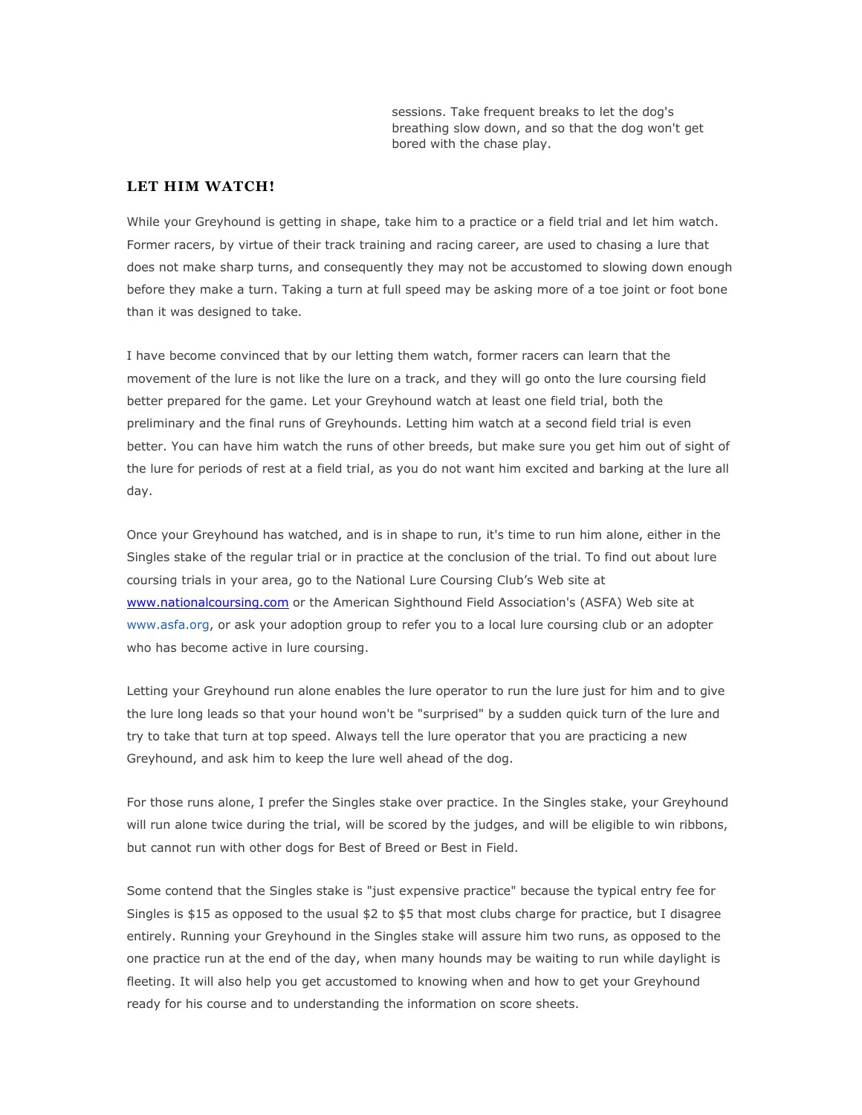sessions. Take frequent breaks to let the dog's breathing slow down, and so that the dog won't get bored with the chase play.

#### **LET HIM WATCH!**

While your Greyhound is getting in shape, take him to a practice or a field trial and let him watch. Former racers, by virtue of their track training and racing career, are used to chasing a lure that does not make sharp turns, and consequently they may not be accustomed to slowing down enough before they make a turn. Taking a turn at full speed may be asking more of a toe joint or foot bone than it was designed to take.

I have become convinced that by our letting them watch, former racers can learn that the movement of the lure is not like the lure on a track, and they will go onto the lure coursing field better prepared for the game. Let your Greyhound watch at least one field trial, both the preliminary and the final runs of Greyhounds. Letting him watch at a second field trial is even better. You can have him watch the runs of other breeds, but make sure you get him out of sight of the lure for periods of rest at a field trial, as you do not want him excited and barking at the lure all day.

Once your Greyhound has watched, and is in shape to run, it's time to run him alone, either in the Singles stake of the regular trial or in practice at the conclusion of the trial. To find out about lure coursing trials in your area, go to the National Lure Coursing Club's Web site at [www.nationalcoursing.com](http://www.nationalcoursing.com/) or the American Sighthound Field Association's (ASFA) Web site at [www.asfa.org,](http://www.asfa.org/) or ask your adoption group to refer you to a local lure coursing club or an adopter who has become active in lure coursing.

Letting your Greyhound run alone enables the lure operator to run the lure just for him and to give the lure long leads so that your hound won't be "surprised" by a sudden quick turn of the lure and try to take that turn at top speed. Always tell the lure operator that you are practicing a new Greyhound, and ask him to keep the lure well ahead of the dog.

For those runs alone, I prefer the Singles stake over practice. In the Singles stake, your Greyhound will run alone twice during the trial, will be scored by the judges, and will be eligible to win ribbons, but cannot run with other dogs for Best of Breed or Best in Field.

Some contend that the Singles stake is "just expensive practice" because the typical entry fee for Singles is \$15 as opposed to the usual \$2 to \$5 that most clubs charge for practice, but I disagree entirely. Running your Greyhound in the Singles stake will assure him two runs, as opposed to the one practice run at the end of the day, when many hounds may be waiting to run while daylight is fleeting. It will also help you get accustomed to knowing when and how to get your Greyhound ready for his course and to understanding the information on score sheets.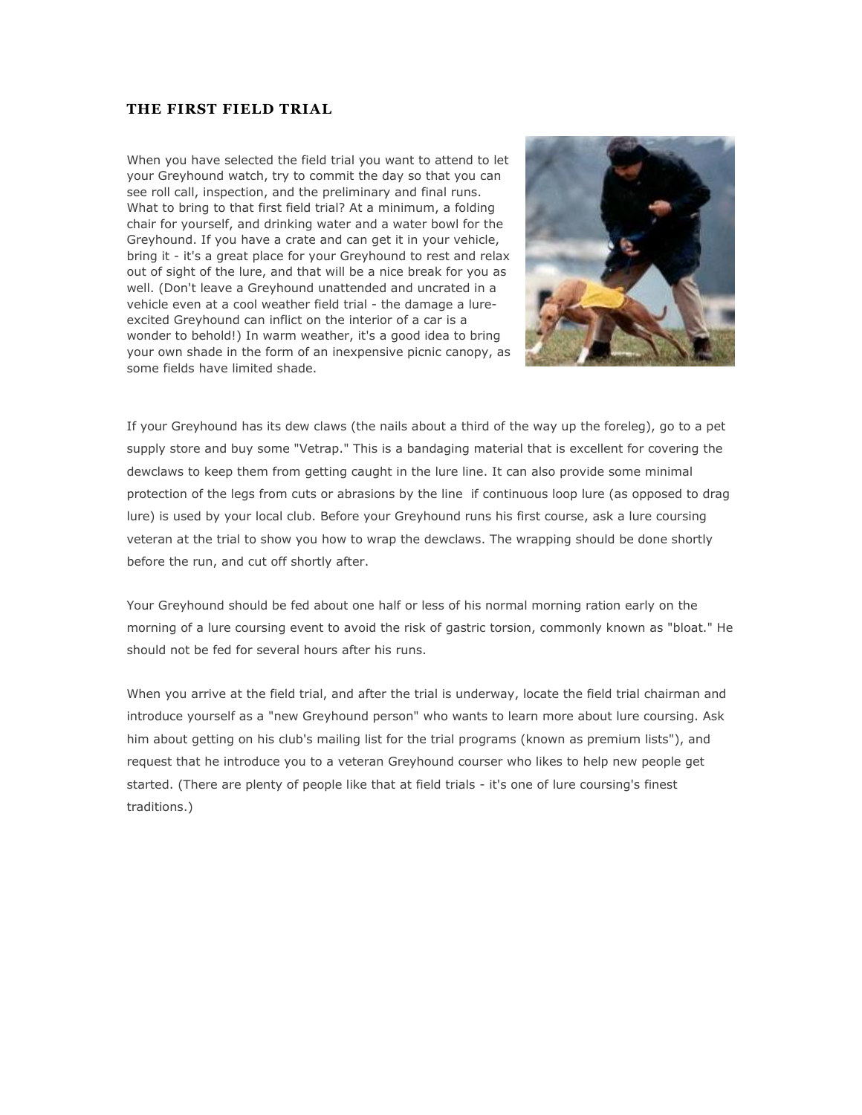# **THE FIRST FIELD TRIAL**

When you have selected the field trial you want to attend to let your Greyhound watch, try to commit the day so that you can see roll call, inspection, and the preliminary and final runs. What to bring to that first field trial? At a minimum, a folding chair for yourself, and drinking water and a water bowl for the Greyhound. If you have a crate and can get it in your vehicle, bring it - it's a great place for your Greyhound to rest and relax out of sight of the lure, and that will be a nice break for you as well. (Don't leave a Greyhound unattended and uncrated in a vehicle even at a cool weather field trial - the damage a lureexcited Greyhound can inflict on the interior of a car is a wonder to behold!) In warm weather, it's a good idea to bring your own shade in the form of an inexpensive picnic canopy, as some fields have limited shade.



If your Greyhound has its dew claws (the nails about a third of the way up the foreleg), go to a pet supply store and buy some "Vetrap." This is a bandaging material that is excellent for covering the dewclaws to keep them from getting caught in the lure line. It can also provide some minimal protection of the legs from cuts or abrasions by the line if continuous loop lure (as opposed to drag lure) is used by your local club. Before your Greyhound runs his first course, ask a lure coursing veteran at the trial to show you how to wrap the dewclaws. The wrapping should be done shortly before the run, and cut off shortly after.

Your Greyhound should be fed about one half or less of his normal morning ration early on the morning of a lure coursing event to avoid the risk of gastric torsion, commonly known as "bloat." He should not be fed for several hours after his runs.

When you arrive at the field trial, and after the trial is underway, locate the field trial chairman and introduce yourself as a "new Greyhound person" who wants to learn more about lure coursing. Ask him about getting on his club's mailing list for the trial programs (known as premium lists"), and request that he introduce you to a veteran Greyhound courser who likes to help new people get started. (There are plenty of people like that at field trials - it's one of lure coursing's finest traditions.)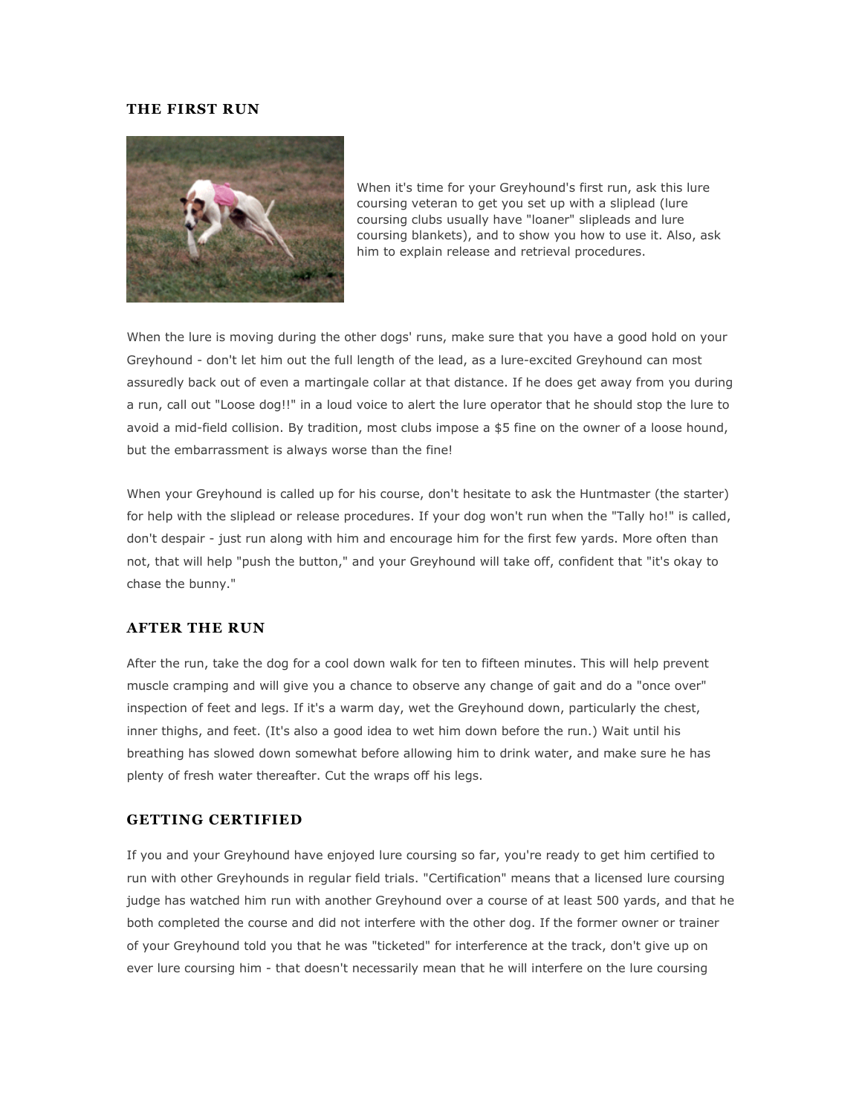#### **THE FIRST RUN**



When it's time for your Greyhound's first run, ask this lure coursing veteran to get you set up with a sliplead (lure coursing clubs usually have "loaner" slipleads and lure coursing blankets), and to show you how to use it. Also, ask him to explain release and retrieval procedures.

When the lure is moving during the other dogs' runs, make sure that you have a good hold on your Greyhound - don't let him out the full length of the lead, as a lure-excited Greyhound can most assuredly back out of even a martingale collar at that distance. If he does get away from you during a run, call out "Loose dog!!" in a loud voice to alert the lure operator that he should stop the lure to avoid a mid-field collision. By tradition, most clubs impose a \$5 fine on the owner of a loose hound, but the embarrassment is always worse than the fine!

When your Greyhound is called up for his course, don't hesitate to ask the Huntmaster (the starter) for help with the sliplead or release procedures. If your dog won't run when the "Tally ho!" is called, don't despair - just run along with him and encourage him for the first few yards. More often than not, that will help "push the button," and your Greyhound will take off, confident that "it's okay to chase the bunny."

### **AFTER THE RUN**

After the run, take the dog for a cool down walk for ten to fifteen minutes. This will help prevent muscle cramping and will give you a chance to observe any change of gait and do a "once over" inspection of feet and legs. If it's a warm day, wet the Greyhound down, particularly the chest, inner thighs, and feet. (It's also a good idea to wet him down before the run.) Wait until his breathing has slowed down somewhat before allowing him to drink water, and make sure he has plenty of fresh water thereafter. Cut the wraps off his legs.

#### **GETTING CERTIFIED**

If you and your Greyhound have enjoyed lure coursing so far, you're ready to get him certified to run with other Greyhounds in regular field trials. "Certification" means that a licensed lure coursing judge has watched him run with another Greyhound over a course of at least 500 yards, and that he both completed the course and did not interfere with the other dog. If the former owner or trainer of your Greyhound told you that he was "ticketed" for interference at the track, don't give up on ever lure coursing him - that doesn't necessarily mean that he will interfere on the lure coursing